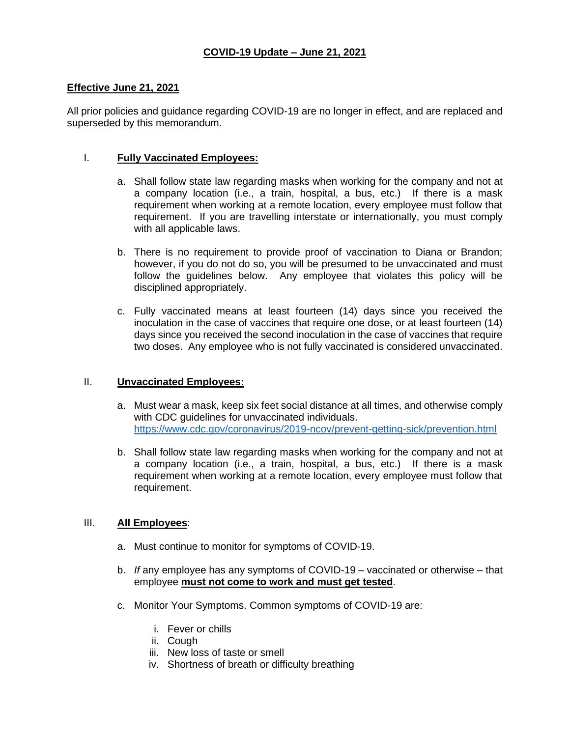## **Effective June 21, 2021**

All prior policies and guidance regarding COVID-19 are no longer in effect, and are replaced and superseded by this memorandum.

#### I. **Fully Vaccinated Employees:**

- a. Shall follow state law regarding masks when working for the company and not at a company location (i.e., a train, hospital, a bus, etc.) If there is a mask requirement when working at a remote location, every employee must follow that requirement. If you are travelling interstate or internationally, you must comply with all applicable laws.
- b. There is no requirement to provide proof of vaccination to Diana or Brandon; however, if you do not do so, you will be presumed to be unvaccinated and must follow the guidelines below. Any employee that violates this policy will be disciplined appropriately.
- c. Fully vaccinated means at least fourteen (14) days since you received the inoculation in the case of vaccines that require one dose, or at least fourteen (14) days since you received the second inoculation in the case of vaccines that require two doses. Any employee who is not fully vaccinated is considered unvaccinated.

#### II. **Unvaccinated Employees:**

- a. Must wear a mask, keep six feet social distance at all times, and otherwise comply with CDC guidelines for unvaccinated individuals. <https://www.cdc.gov/coronavirus/2019-ncov/prevent-getting-sick/prevention.html>
- b. Shall follow state law regarding masks when working for the company and not at a company location (i.e., a train, hospital, a bus, etc.) If there is a mask requirement when working at a remote location, every employee must follow that requirement.

# III. **All Employees**:

- a. Must continue to monitor for symptoms of COVID-19.
- b. *If* any employee has any symptoms of COVID-19 vaccinated or otherwise that employee **must not come to work and must get tested**.
- c. Monitor Your Symptoms. Common symptoms of COVID-19 are:
	- i. Fever or chills
	- ii. Cough
	- iii. New loss of taste or smell
	- iv. Shortness of breath or difficulty breathing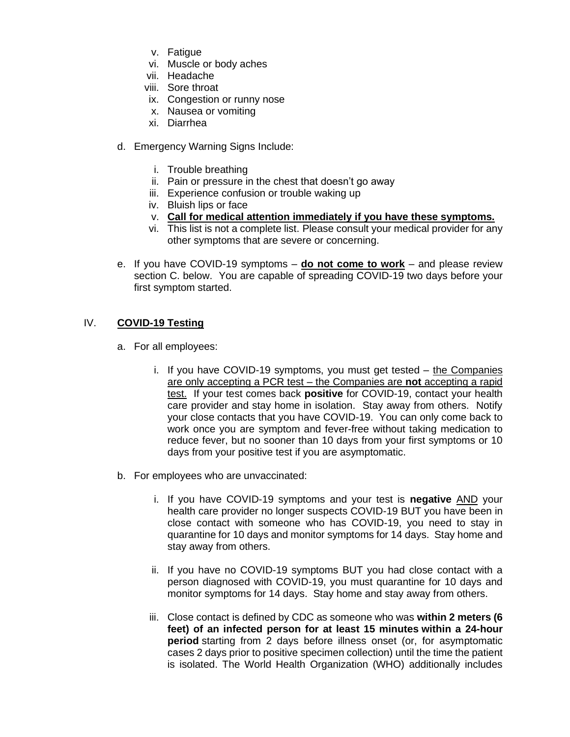- v. Fatigue
- vi. Muscle or body aches
- vii. Headache
- viii. Sore throat
- ix. Congestion or runny nose
- x. Nausea or vomiting
- xi. Diarrhea
- d. Emergency Warning Signs Include:
	- i. Trouble breathing
	- ii. Pain or pressure in the chest that doesn't go away
	- iii. Experience confusion or trouble waking up
	- iv. Bluish lips or face
	- v. **Call for medical attention immediately if you have these symptoms.**
	- vi. This list is not a complete list. Please consult your medical provider for any other symptoms that are severe or concerning.
- e. If you have COVID-19 symptoms **do not come to work** and please review section C. below. You are capable of spreading COVID-19 two days before your first symptom started.

## IV. **COVID-19 Testing**

- a. For all employees:
	- i. If you have COVID-19 symptoms, you must get tested the Companies are only accepting a PCR test – the Companies are **not** accepting a rapid test. If your test comes back **positive** for COVID-19, contact your health care provider and stay home in isolation. Stay away from others. Notify your close contacts that you have COVID-19. You can only come back to work once you are symptom and fever-free without taking medication to reduce fever, but no sooner than 10 days from your first symptoms or 10 days from your positive test if you are asymptomatic.
- b. For employees who are unvaccinated:
	- i. If you have COVID-19 symptoms and your test is **negative** AND your health care provider no longer suspects COVID-19 BUT you have been in close contact with someone who has COVID-19, you need to stay in quarantine for 10 days and monitor symptoms for 14 days. Stay home and stay away from others.
	- ii. If you have no COVID-19 symptoms BUT you had close contact with a person diagnosed with COVID-19, you must quarantine for 10 days and monitor symptoms for 14 days. Stay home and stay away from others.
	- iii. [Close contact](https://www.cdc.gov/coronavirus/2019-ncov/php/contact-tracing/contact-tracing-plan/appendix.html#contact) is defined by CDC as someone who was **within 2 meters (6 feet) of an infected person for at least 15 minutes within a 24-hour period** starting from 2 days before illness onset (or, for asymptomatic cases 2 days prior to positive specimen collection) until the time the patient is isolated. The World Health Organization (WHO) additionally includes